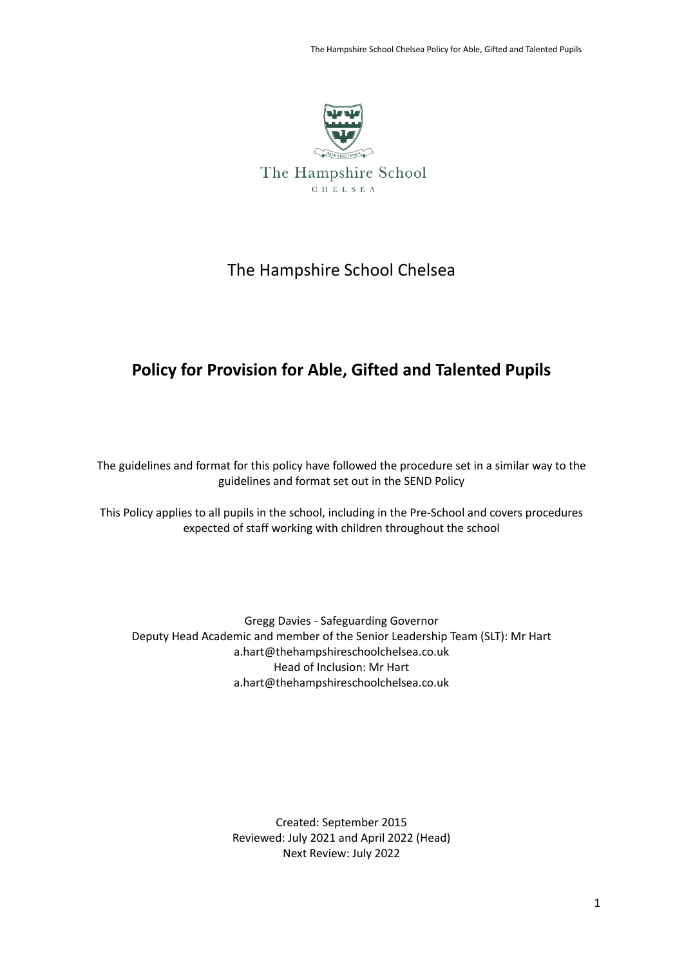

The Hampshire School C H E L S E A

# The Hampshire School Chelsea

# **Policy for Provision for Able, Gifted and Talented Pupils**

The guidelines and format for this policy have followed the procedure set in a similar way to the guidelines and format set out in the SEND Policy

This Policy applies to all pupils in the school, including in the Pre-School and covers procedures expected of staff working with children throughout the school

Gregg Davies - Safeguarding Governor Deputy Head Academic and member of the Senior Leadership Team (SLT): Mr Hart a.hart@thehampshireschoolchelsea.co.uk Head of Inclusion: Mr Hart a.hart@thehampshireschoolchelsea.co.uk

> Created: September 2015 Reviewed: July 2021 and April 2022 (Head) Next Review: July 2022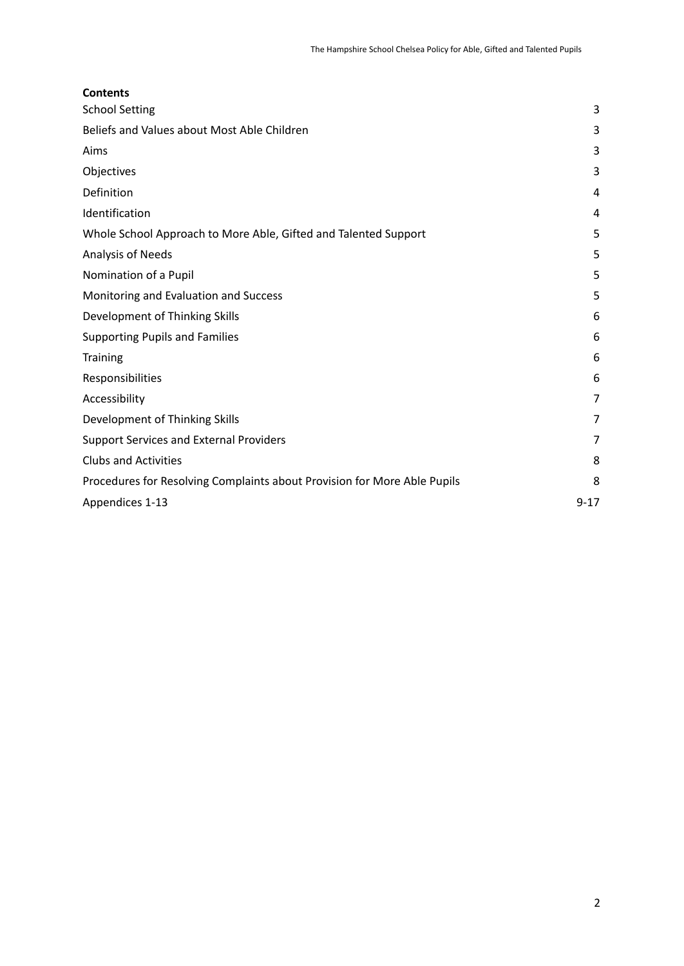<span id="page-1-0"></span>

| <b>Contents</b>                                                          |          |
|--------------------------------------------------------------------------|----------|
| <b>School Setting</b>                                                    | 3        |
| Beliefs and Values about Most Able Children                              | 3        |
| Aims                                                                     | 3        |
| Objectives                                                               | 3        |
| Definition                                                               | 4        |
| Identification                                                           | 4        |
| Whole School Approach to More Able, Gifted and Talented Support          | 5        |
| Analysis of Needs                                                        | 5        |
| Nomination of a Pupil                                                    | 5        |
| Monitoring and Evaluation and Success                                    | 5        |
| Development of Thinking Skills                                           | 6        |
| <b>Supporting Pupils and Families</b>                                    | 6        |
| Training                                                                 | 6        |
| Responsibilities                                                         | 6        |
| Accessibility                                                            | 7        |
| Development of Thinking Skills                                           | 7        |
| <b>Support Services and External Providers</b>                           | 7        |
| <b>Clubs and Activities</b>                                              | 8        |
| Procedures for Resolving Complaints about Provision for More Able Pupils | 8        |
| Appendices 1-13                                                          | $9 - 17$ |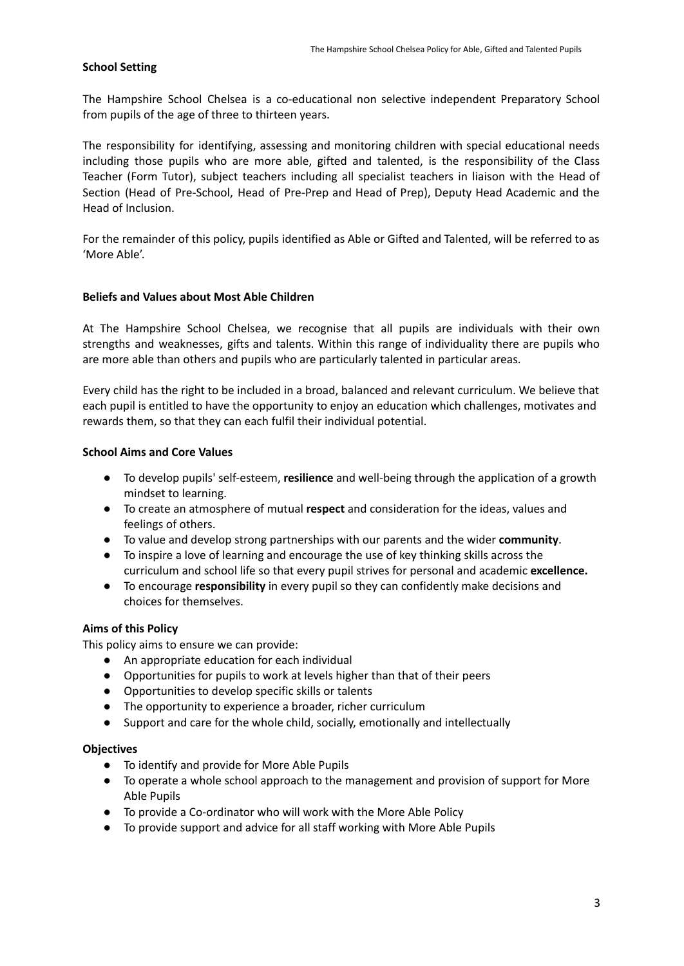# **School Setting**

The Hampshire School Chelsea is a co-educational non selective independent Preparatory School from pupils of the age of three to thirteen years.

The responsibility for identifying, assessing and monitoring children with special educational needs including those pupils who are more able, gifted and talented, is the responsibility of the Class Teacher (Form Tutor), subject teachers including all specialist teachers in liaison with the Head of Section (Head of Pre-School, Head of Pre-Prep and Head of Prep), Deputy Head Academic and the Head of Inclusion.

For the remainder of this policy, pupils identified as Able or Gifted and Talented, will be referred to as 'More Able'.

### <span id="page-2-0"></span>**Beliefs and Values about Most Able Children**

At The Hampshire School Chelsea, we recognise that all pupils are individuals with their own strengths and weaknesses, gifts and talents. Within this range of individuality there are pupils who are more able than others and pupils who are particularly talented in particular areas.

Every child has the right to be included in a broad, balanced and relevant curriculum. We believe that each pupil is entitled to have the opportunity to enjoy an education which challenges, motivates and rewards them, so that they can each fulfil their individual potential.

### <span id="page-2-1"></span>**School Aims and Core Values**

- To develop pupils' self-esteem, **resilience** and well-being through the application of a growth mindset to learning.
- To create an atmosphere of mutual **respect** and consideration for the ideas, values and feelings of others.
- To value and develop strong partnerships with our parents and the wider **community**.
- To inspire a love of learning and encourage the use of key thinking skills across the curriculum and school life so that every pupil strives for personal and academic **excellence.**
- To encourage **responsibility** in every pupil so they can confidently make decisions and choices for themselves.

### **Aims of this Policy**

This policy aims to ensure we can provide:

- An appropriate education for each individual
- Opportunities for pupils to work at levels higher than that of their peers
- Opportunities to develop specific skills or talents
- The opportunity to experience a broader, richer curriculum
- Support and care for the whole child, socially, emotionally and intellectually

### <span id="page-2-2"></span>**Objectives**

- To identify and provide for More Able Pupils
- To operate a whole school approach to the management and provision of support for More Able Pupils
- To provide a Co-ordinator who will work with the More Able Policy
- To provide support and advice for all staff working with More Able Pupils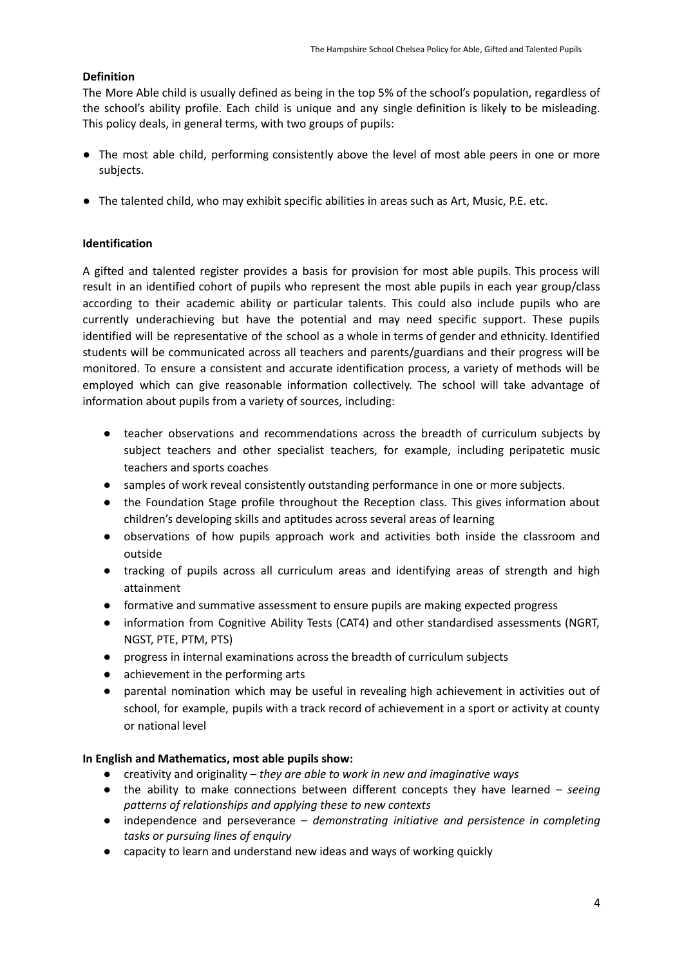# <span id="page-3-0"></span>**Definition**

The More Able child is usually defined as being in the top 5% of the school's population, regardless of the school's ability profile. Each child is unique and any single definition is likely to be misleading. This policy deals, in general terms, with two groups of pupils:

- The most able child, performing consistently above the level of most able peers in one or more subjects.
- The talented child, who may exhibit specific abilities in areas such as Art, Music, P.E. etc.

# <span id="page-3-1"></span>**Identification**

A gifted and talented register provides a basis for provision for most able pupils. This process will result in an identified cohort of pupils who represent the most able pupils in each year group/class according to their academic ability or particular talents. This could also include pupils who are currently underachieving but have the potential and may need specific support. These pupils identified will be representative of the school as a whole in terms of gender and ethnicity. Identified students will be communicated across all teachers and parents/guardians and their progress will be monitored. To ensure a consistent and accurate identification process, a variety of methods will be employed which can give reasonable information collectively. The school will take advantage of information about pupils from a variety of sources, including:

- teacher observations and recommendations across the breadth of curriculum subjects by subject teachers and other specialist teachers, for example, including peripatetic music teachers and sports coaches
- samples of work reveal consistently outstanding performance in one or more subjects.
- the Foundation Stage profile throughout the Reception class. This gives information about children's developing skills and aptitudes across several areas of learning
- observations of how pupils approach work and activities both inside the classroom and outside
- tracking of pupils across all curriculum areas and identifying areas of strength and high attainment
- formative and summative assessment to ensure pupils are making expected progress
- information from Cognitive Ability Tests (CAT4) and other standardised assessments (NGRT, NGST, PTE, PTM, PTS)
- progress in internal examinations across the breadth of curriculum subjects
- achievement in the performing arts
- parental nomination which may be useful in revealing high achievement in activities out of school, for example, pupils with a track record of achievement in a sport or activity at county or national level

### **In English and Mathematics, most able pupils show:**

- creativity and originality *they are able to work in new and imaginative ways*
- the ability to make connections between different concepts they have learned *seeing patterns of relationships and applying these to new contexts*
- independence and perseverance *demonstrating initiative and persistence in completing tasks or pursuing lines of enquiry*
- capacity to learn and understand new ideas and ways of working quickly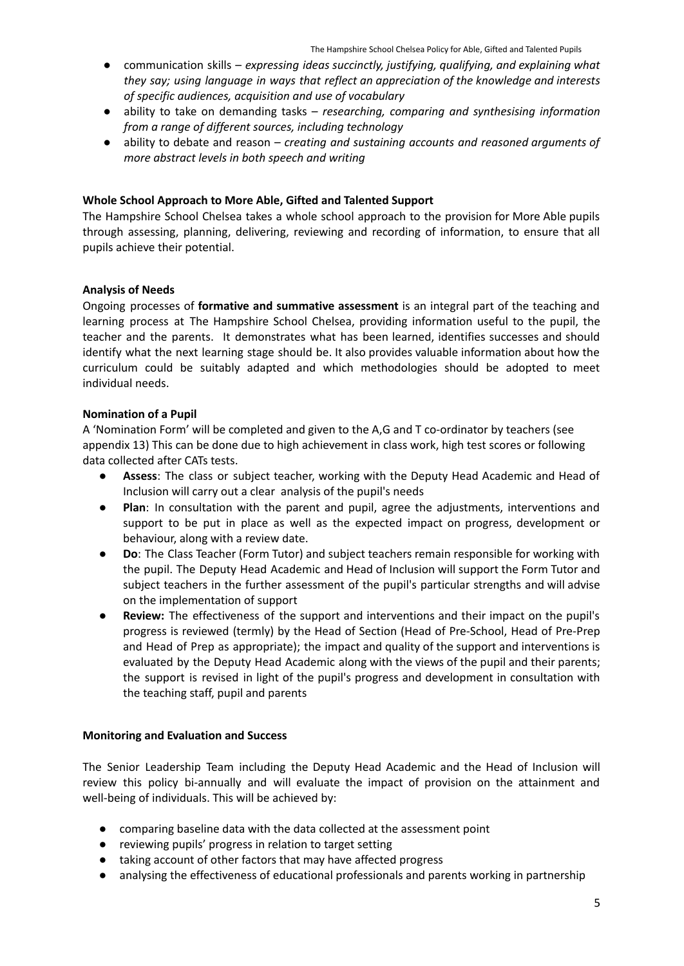- *●* communication skills *expressing ideas succinctly, justifying, qualifying, and explaining what they say; using language in ways that reflect an appreciation of the knowledge and interests of specific audiences, acquisition and use of vocabulary*
- ability to take on demanding tasks *researching, comparing and synthesising information from a range of different sources, including technology*
- ability to debate and reason *creating and sustaining accounts and reasoned arguments of more abstract levels in both speech and writing*

### <span id="page-4-0"></span>**Whole School Approach to More Able, Gifted and Talented Support**

The Hampshire School Chelsea takes a whole school approach to the provision for More Able pupils through assessing, planning, delivering, reviewing and recording of information, to ensure that all pupils achieve their potential.

### <span id="page-4-1"></span>**Analysis of Needs**

Ongoing processes of **formative and summative assessment** is an integral part of the teaching and learning process at The Hampshire School Chelsea, providing information useful to the pupil, the teacher and the parents. It demonstrates what has been learned, identifies successes and should identify what the next learning stage should be. It also provides valuable information about how the curriculum could be suitably adapted and which methodologies should be adopted to meet individual needs.

### <span id="page-4-2"></span>**Nomination of a Pupil**

A 'Nomination Form' will be completed and given to the A,G and T co-ordinator by teachers (see appendix 13) This can be done due to high achievement in class work, high test scores or following data collected after CATs tests.

- Assess: The class or subject teacher, working with the Deputy Head Academic and Head of Inclusion will carry out a clear analysis of the pupil's needs
- **Plan**: In consultation with the parent and pupil, agree the adjustments, interventions and support to be put in place as well as the expected impact on progress, development or behaviour, along with a review date.
- **Do**: The Class Teacher (Form Tutor) and subject teachers remain responsible for working with the pupil. The Deputy Head Academic and Head of Inclusion will support the Form Tutor and subject teachers in the further assessment of the pupil's particular strengths and will advise on the implementation of support
- **Review:** The effectiveness of the support and interventions and their impact on the pupil's progress is reviewed (termly) by the Head of Section (Head of Pre-School, Head of Pre-Prep and Head of Prep as appropriate); the impact and quality of the support and interventions is evaluated by the Deputy Head Academic along with the views of the pupil and their parents; the support is revised in light of the pupil's progress and development in consultation with the teaching staff, pupil and parents

#### <span id="page-4-3"></span>**Monitoring and Evaluation and Success**

The Senior Leadership Team including the Deputy Head Academic and the Head of Inclusion will review this policy bi-annually and will evaluate the impact of provision on the attainment and well-being of individuals. This will be achieved by:

- comparing baseline data with the data collected at the assessment point
- reviewing pupils' progress in relation to target setting
- taking account of other factors that may have affected progress
- analysing the effectiveness of educational professionals and parents working in partnership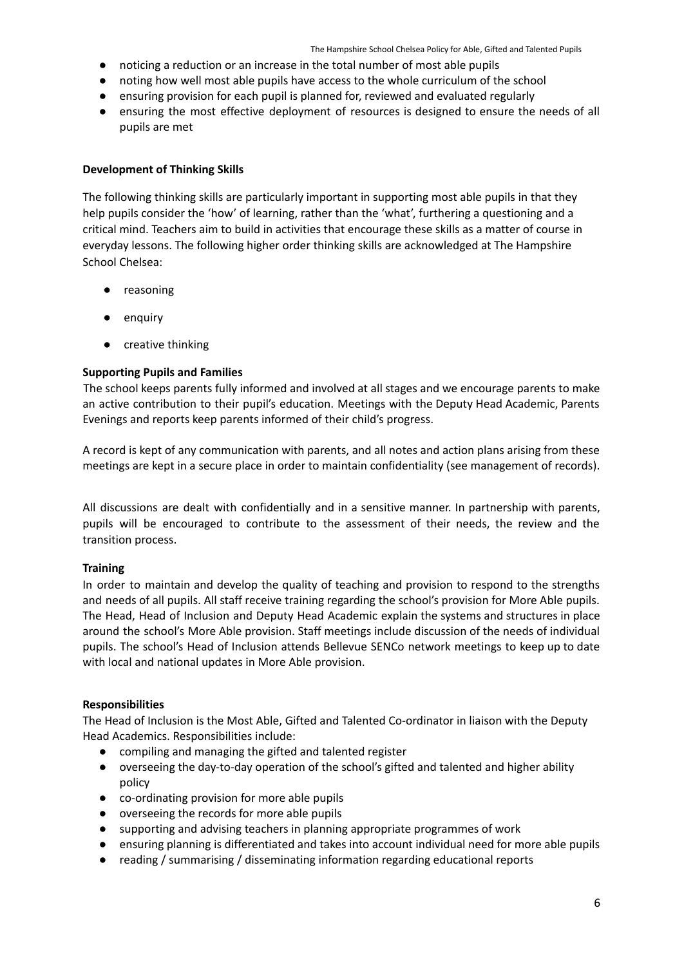- noticing a reduction or an increase in the total number of most able pupils
- noting how well most able pupils have access to the whole curriculum of the school
- ensuring provision for each pupil is planned for, reviewed and evaluated regularly
- ensuring the most effective deployment of resources is designed to ensure the needs of all pupils are met

# <span id="page-5-0"></span>**Development of Thinking Skills**

The following thinking skills are particularly important in supporting most able pupils in that they help pupils consider the 'how' of learning, rather than the 'what', furthering a questioning and a critical mind. Teachers aim to build in activities that encourage these skills as a matter of course in everyday lessons. The following higher order thinking skills are acknowledged at The Hampshire School Chelsea:

- reasoning
- enquiry
- creative thinking

# <span id="page-5-1"></span>**Supporting Pupils and Families**

The school keeps parents fully informed and involved at all stages and we encourage parents to make an active contribution to their pupil's education. Meetings with the Deputy Head Academic, Parents Evenings and reports keep parents informed of their child's progress.

A record is kept of any communication with parents, and all notes and action plans arising from these meetings are kept in a secure place in order to maintain confidentiality (see management of records).

All discussions are dealt with confidentially and in a sensitive manner. In partnership with parents, pupils will be encouraged to contribute to the assessment of their needs, the review and the transition process.

### <span id="page-5-2"></span>**Training**

In order to maintain and develop the quality of teaching and provision to respond to the strengths and needs of all pupils. All staff receive training regarding the school's provision for More Able pupils. The Head, Head of Inclusion and Deputy Head Academic explain the systems and structures in place around the school's More Able provision. Staff meetings include discussion of the needs of individual pupils. The school's Head of Inclusion attends Bellevue SENCo network meetings to keep up to date with local and national updates in More Able provision.

### <span id="page-5-3"></span>**Responsibilities**

The Head of Inclusion is the Most Able, Gifted and Talented Co-ordinator in liaison with the Deputy Head Academics. Responsibilities include:

- compiling and managing the gifted and talented register
- overseeing the day-to-day operation of the school's gifted and talented and higher ability policy
- co-ordinating provision for more able pupils
- overseeing the records for more able pupils
- supporting and advising teachers in planning appropriate programmes of work
- ensuring planning is differentiated and takes into account individual need for more able pupils
- reading / summarising / disseminating information regarding educational reports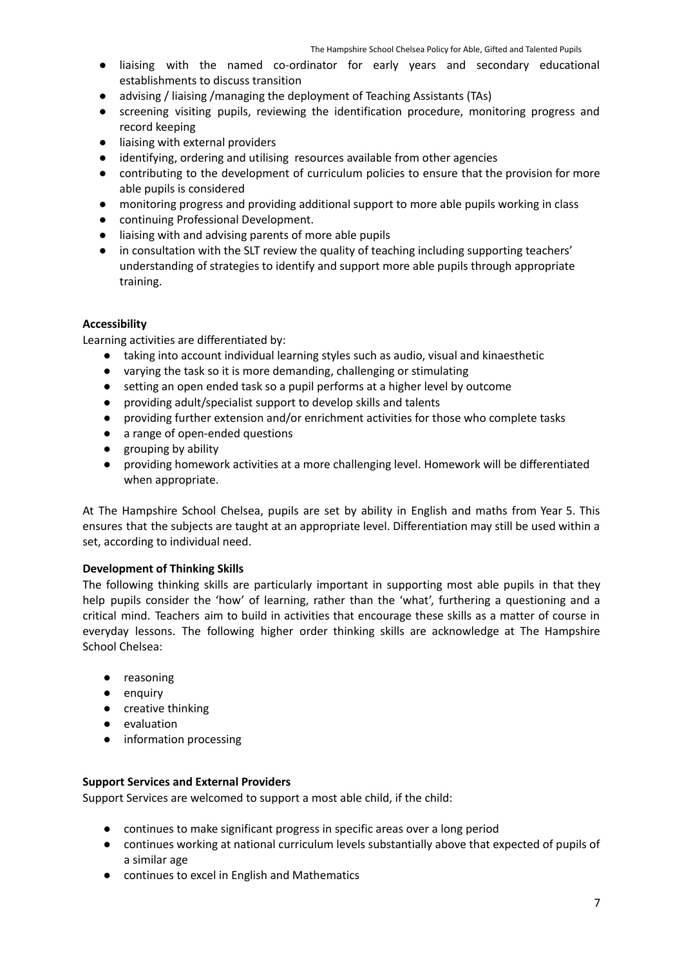- **●** liaising with the named co-ordinator for early years and secondary educational establishments to discuss transition
- **●** advising / liaising /managing the deployment of Teaching Assistants (TAs)
- screening visiting pupils, reviewing the identification procedure, monitoring progress and record keeping
- liaising with external providers
- identifying, ordering and utilising resources available from other agencies
- contributing to the development of curriculum policies to ensure that the provision for more able pupils is considered
- monitoring progress and providing additional support to more able pupils working in class
- continuing Professional Development.
- liaising with and advising parents of more able pupils
- in consultation with the SLT review the quality of teaching including supporting teachers' understanding of strategies to identify and support more able pupils through appropriate training.

# <span id="page-6-0"></span>**Accessibility**

Learning activities are differentiated by:

- taking into account individual learning styles such as audio, visual and kinaesthetic
- varying the task so it is more demanding, challenging or stimulating
- setting an open ended task so a pupil performs at a higher level by outcome
- providing adult/specialist support to develop skills and talents
- providing further extension and/or enrichment activities for those who complete tasks
- a range of open-ended questions
- grouping by ability
- providing homework activities at a more challenging level. Homework will be differentiated when appropriate.

At The Hampshire School Chelsea, pupils are set by ability in English and maths from Year 5. This ensures that the subjects are taught at an appropriate level. Differentiation may still be used within a set, according to individual need.

### <span id="page-6-1"></span>**Development of Thinking Skills**

The following thinking skills are particularly important in supporting most able pupils in that they help pupils consider the 'how' of learning, rather than the 'what', furthering a questioning and a critical mind. Teachers aim to build in activities that encourage these skills as a matter of course in everyday lessons. The following higher order thinking skills are acknowledge at The Hampshire School Chelsea:

- reasoning
- enquiry
- creative thinking
- evaluation
- information processing

### <span id="page-6-2"></span>**Support Services and External Providers**

Support Services are welcomed to support a most able child, if the child:

- continues to make significant progress in specific areas over a long period
- continues working at national curriculum levels substantially above that expected of pupils of a similar age
- continues to excel in English and Mathematics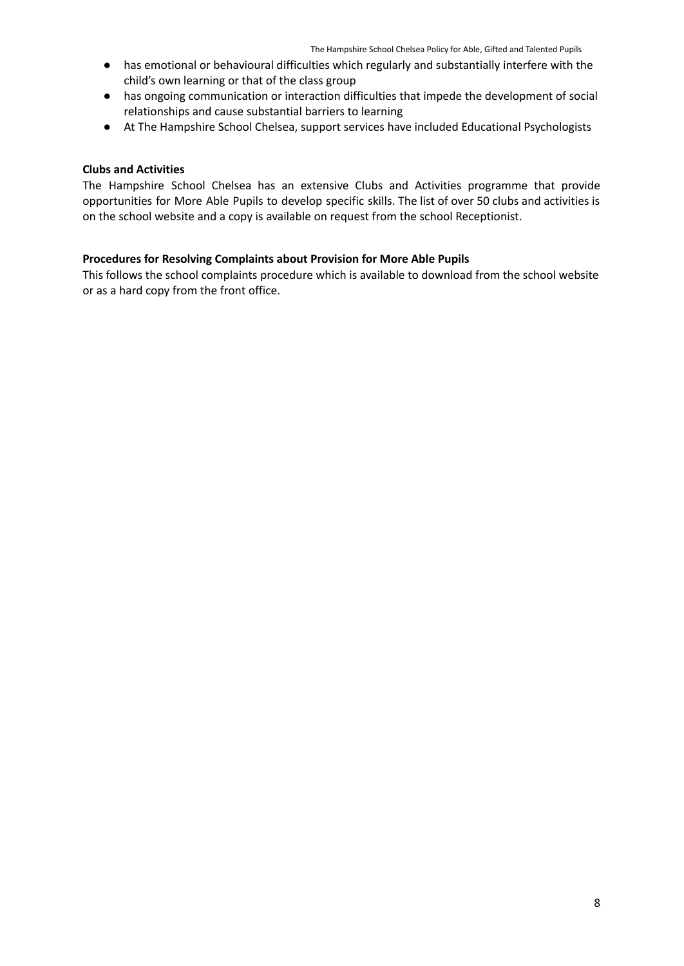- has emotional or behavioural difficulties which regularly and substantially interfere with the child's own learning or that of the class group
- has ongoing communication or interaction difficulties that impede the development of social relationships and cause substantial barriers to learning
- At The Hampshire School Chelsea, support services have included Educational Psychologists

### <span id="page-7-0"></span>**Clubs and Activities**

The Hampshire School Chelsea has an extensive Clubs and Activities programme that provide opportunities for More Able Pupils to develop specific skills. The list of over 50 clubs and activities is on the school website and a copy is available on request from the school Receptionist.

# <span id="page-7-1"></span>**Procedures for Resolving Complaints about Provision for More Able Pupils**

This follows the school complaints procedure which is available to download from the school website or as a hard copy from the front office.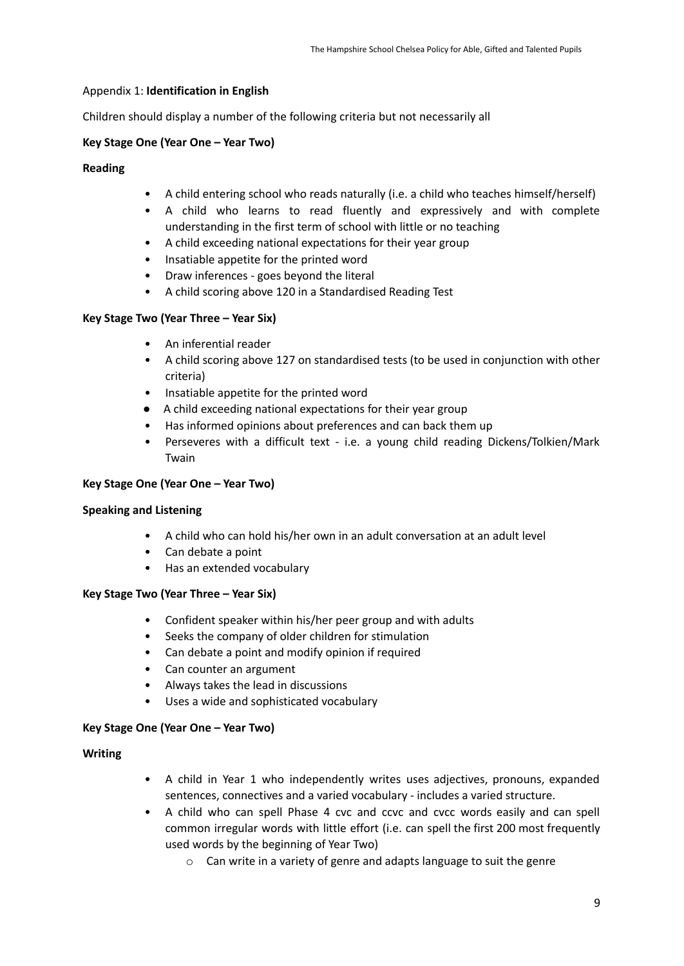### Appendix 1: **Identification in English**

Children should display a number of the following criteria but not necessarily all

# **Key Stage One (Year One – Year Two)**

### **Reading**

- A child entering school who reads naturally (i.e. a child who teaches himself/herself)
- A child who learns to read fluently and expressively and with complete understanding in the first term of school with little or no teaching
- A child exceeding national expectations for their year group
- Insatiable appetite for the printed word
- Draw inferences goes beyond the literal
- A child scoring above 120 in a Standardised Reading Test

### **Key Stage Two (Year Three – Year Six)**

- An inferential reader
- A child scoring above 127 on standardised tests (to be used in conjunction with other criteria)
- Insatiable appetite for the printed word
- A child exceeding national expectations for their year group
- Has informed opinions about preferences and can back them up
- Perseveres with a difficult text i.e. a young child reading Dickens/Tolkien/Mark Twain

### **Key Stage One (Year One – Year Two)**

### **Speaking and Listening**

- A child who can hold his/her own in an adult conversation at an adult level
- Can debate a point
- Has an extended vocabulary

### **Key Stage Two (Year Three – Year Six)**

- Confident speaker within his/her peer group and with adults
- Seeks the company of older children for stimulation
- Can debate a point and modify opinion if required
- Can counter an argument
- Always takes the lead in discussions
- Uses a wide and sophisticated vocabulary

### **Key Stage One (Year One – Year Two)**

### **Writing**

- A child in Year 1 who independently writes uses adjectives, pronouns, expanded sentences, connectives and a varied vocabulary - includes a varied structure.
- A child who can spell Phase 4 cvc and ccvc and cvcc words easily and can spell common irregular words with little effort (i.e. can spell the first 200 most frequently used words by the beginning of Year Two)
	- o Can write in a variety of genre and adapts language to suit the genre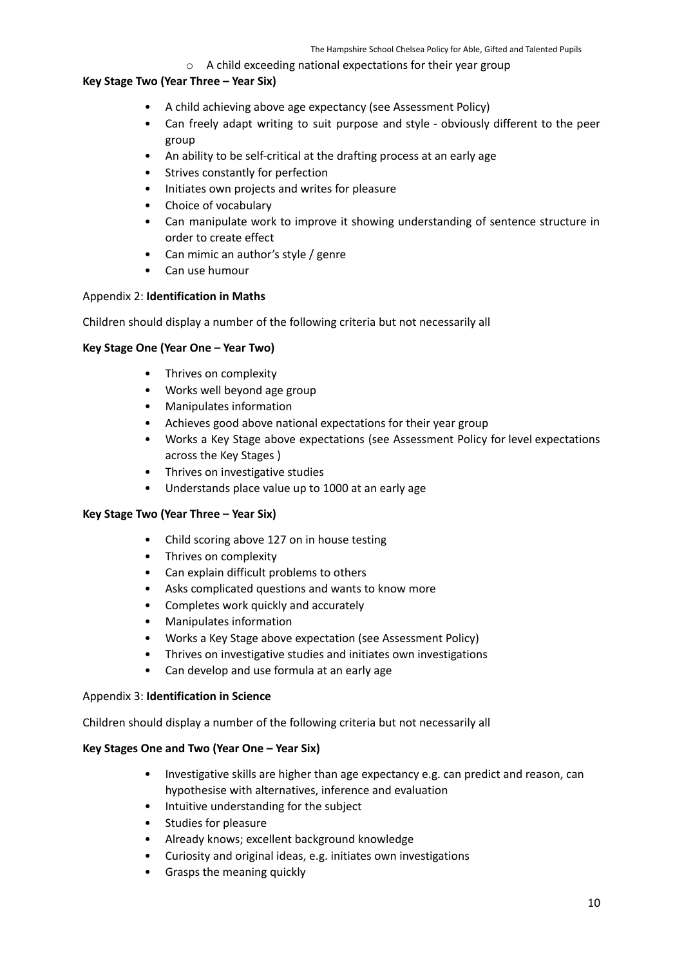### o A child exceeding national expectations for their year group

# **Key Stage Two (Year Three – Year Six)**

- A child achieving above age expectancy (see Assessment Policy)
- Can freely adapt writing to suit purpose and style obviously different to the peer group
- An ability to be self-critical at the drafting process at an early age
- Strives constantly for perfection
- Initiates own projects and writes for pleasure
- Choice of vocabulary
- Can manipulate work to improve it showing understanding of sentence structure in order to create effect
- Can mimic an author's style / genre
- Can use humour

### Appendix 2: **Identification in Maths**

Children should display a number of the following criteria but not necessarily all

### **Key Stage One (Year One – Year Two)**

- Thrives on complexity
- Works well beyond age group
- Manipulates information
- Achieves good above national expectations for their year group
- Works a Key Stage above expectations (see Assessment Policy for level expectations across the Key Stages )
- Thrives on investigative studies
- Understands place value up to 1000 at an early age

### **Key Stage Two (Year Three – Year Six)**

- Child scoring above 127 on in house testing
- Thrives on complexity
- Can explain difficult problems to others
- Asks complicated questions and wants to know more
- Completes work quickly and accurately
- Manipulates information
- Works a Key Stage above expectation (see Assessment Policy)
- Thrives on investigative studies and initiates own investigations
- Can develop and use formula at an early age

### Appendix 3: **Identification in Science**

Children should display a number of the following criteria but not necessarily all

### **Key Stages One and Two (Year One – Year Six)**

- Investigative skills are higher than age expectancy e.g. can predict and reason, can hypothesise with alternatives, inference and evaluation
- Intuitive understanding for the subject
- Studies for pleasure
- Already knows; excellent background knowledge
- Curiosity and original ideas, e.g. initiates own investigations
- Grasps the meaning quickly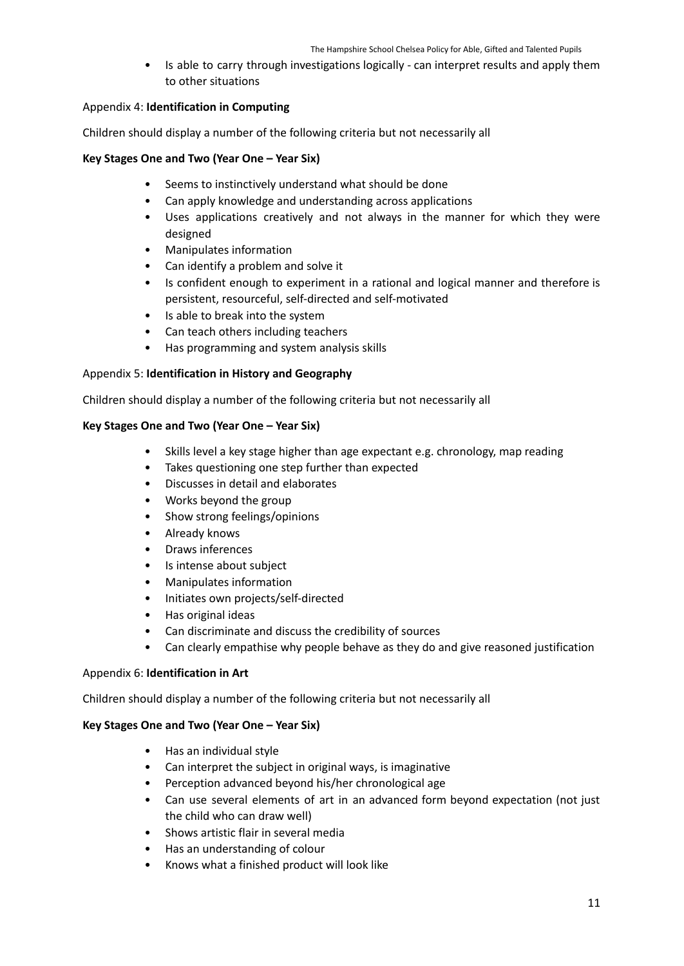• Is able to carry through investigations logically - can interpret results and apply them to other situations

### Appendix 4: **Identification in Computing**

Children should display a number of the following criteria but not necessarily all

### **Key Stages One and Two (Year One – Year Six)**

- Seems to instinctively understand what should be done
- Can apply knowledge and understanding across applications
- Uses applications creatively and not always in the manner for which they were designed
- Manipulates information
- Can identify a problem and solve it
- Is confident enough to experiment in a rational and logical manner and therefore is persistent, resourceful, self-directed and self-motivated
- Is able to break into the system
- Can teach others including teachers
- Has programming and system analysis skills

### Appendix 5: **Identification in History and Geography**

Children should display a number of the following criteria but not necessarily all

### **Key Stages One and Two (Year One – Year Six)**

- Skills level a key stage higher than age expectant e.g. chronology, map reading
- Takes questioning one step further than expected
- Discusses in detail and elaborates
- Works beyond the group
- Show strong feelings/opinions
- Already knows
- Draws inferences
- Is intense about subject
- Manipulates information
- Initiates own projects/self-directed
- Has original ideas
- Can discriminate and discuss the credibility of sources
- Can clearly empathise why people behave as they do and give reasoned justification

### Appendix 6: **Identification in Art**

Children should display a number of the following criteria but not necessarily all

### **Key Stages One and Two (Year One – Year Six)**

- Has an individual style
- Can interpret the subject in original ways, is imaginative
- Perception advanced beyond his/her chronological age
- Can use several elements of art in an advanced form beyond expectation (not just the child who can draw well)
- Shows artistic flair in several media
- Has an understanding of colour
- Knows what a finished product will look like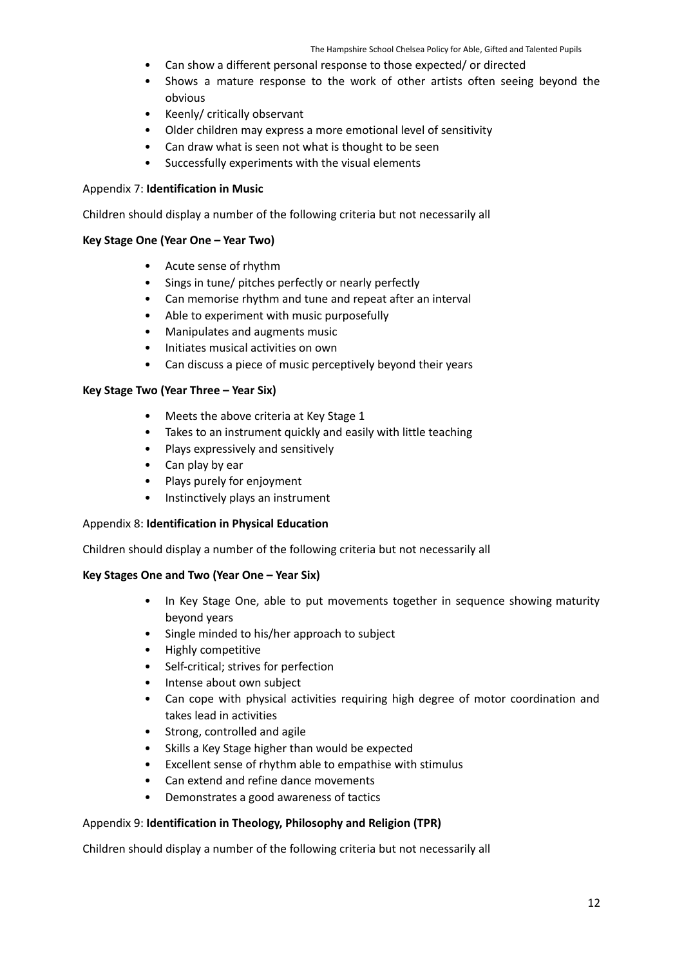- Can show a different personal response to those expected/ or directed
- Shows a mature response to the work of other artists often seeing beyond the obvious
- Keenly/ critically observant
- Older children may express a more emotional level of sensitivity
- Can draw what is seen not what is thought to be seen
- Successfully experiments with the visual elements

### Appendix 7: **Identification in Music**

Children should display a number of the following criteria but not necessarily all

### **Key Stage One (Year One – Year Two)**

- Acute sense of rhythm
- Sings in tune/ pitches perfectly or nearly perfectly
- Can memorise rhythm and tune and repeat after an interval
- Able to experiment with music purposefully
- Manipulates and augments music
- Initiates musical activities on own
- Can discuss a piece of music perceptively beyond their years

### **Key Stage Two (Year Three – Year Six)**

- Meets the above criteria at Key Stage 1
- Takes to an instrument quickly and easily with little teaching
- Plays expressively and sensitively
- Can play by ear
- Plays purely for enjoyment
- Instinctively plays an instrument

### Appendix 8: **Identification in Physical Education**

Children should display a number of the following criteria but not necessarily all

### **Key Stages One and Two (Year One – Year Six)**

- In Key Stage One, able to put movements together in sequence showing maturity beyond years
- Single minded to his/her approach to subject
- Highly competitive
- Self-critical; strives for perfection
- Intense about own subject
- Can cope with physical activities requiring high degree of motor coordination and takes lead in activities
- Strong, controlled and agile
- Skills a Key Stage higher than would be expected
- Excellent sense of rhythm able to empathise with stimulus
- Can extend and refine dance movements
- Demonstrates a good awareness of tactics

### Appendix 9: **Identification in Theology, Philosophy and Religion (TPR)**

Children should display a number of the following criteria but not necessarily all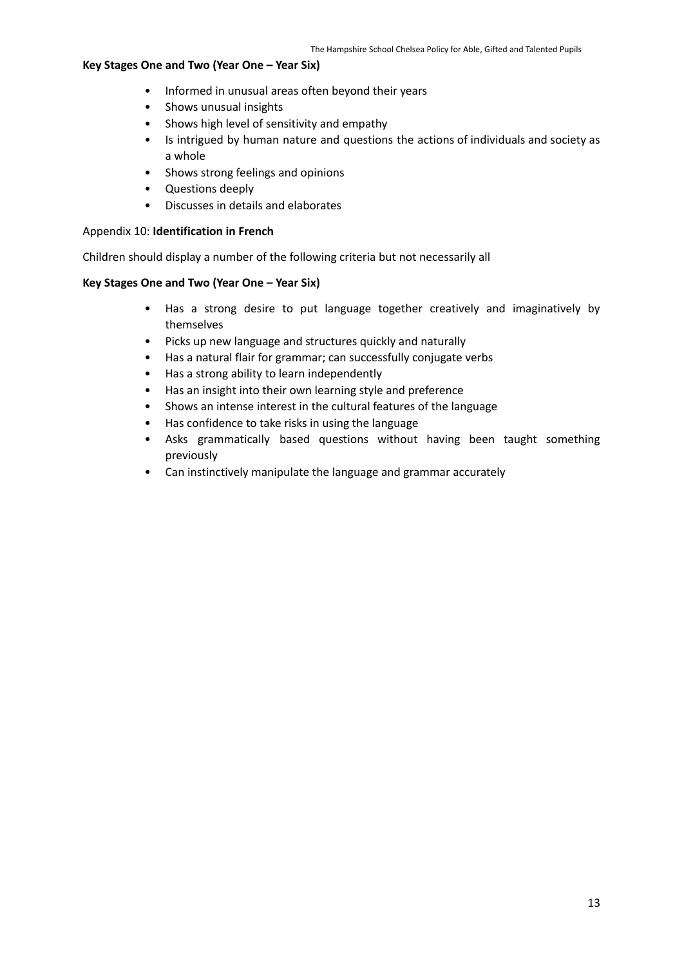### **Key Stages One and Two (Year One – Year Six)**

- Informed in unusual areas often beyond their years
- Shows unusual insights
- Shows high level of sensitivity and empathy
- Is intrigued by human nature and questions the actions of individuals and society as a whole
- Shows strong feelings and opinions
- Questions deeply
- Discusses in details and elaborates

### Appendix 10: **Identification in French**

Children should display a number of the following criteria but not necessarily all

# **Key Stages One and Two (Year One – Year Six)**

- Has a strong desire to put language together creatively and imaginatively by themselves
- Picks up new language and structures quickly and naturally
- Has a natural flair for grammar; can successfully conjugate verbs
- Has a strong ability to learn independently
- Has an insight into their own learning style and preference
- Shows an intense interest in the cultural features of the language
- Has confidence to take risks in using the language
- Asks grammatically based questions without having been taught something previously
- Can instinctively manipulate the language and grammar accurately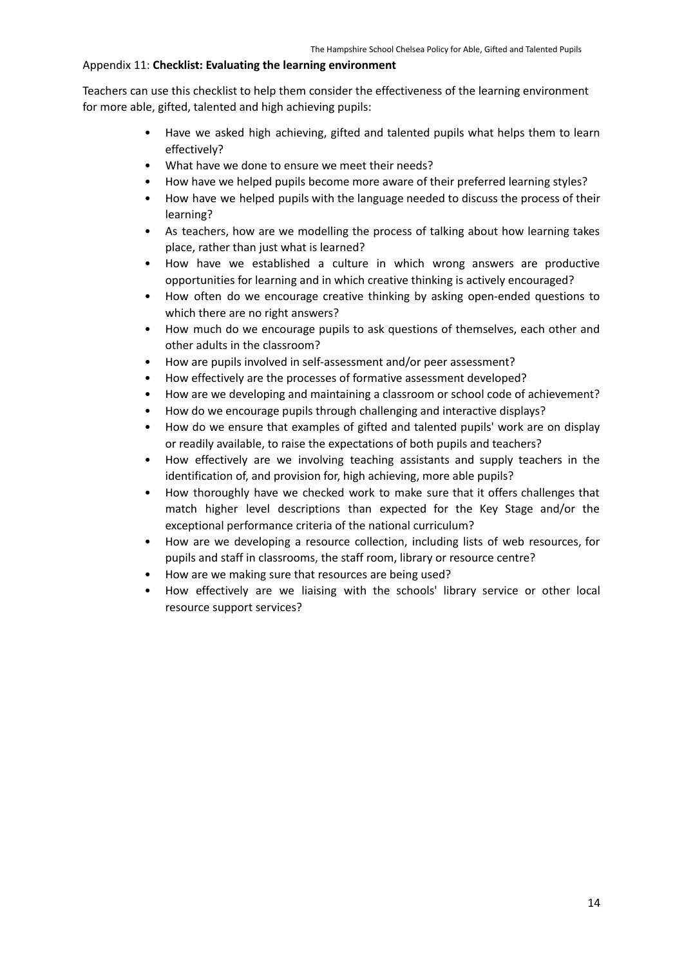# Appendix 11: **Checklist: Evaluating the learning environment**

Teachers can use this checklist to help them consider the effectiveness of the learning environment for more able, gifted, talented and high achieving pupils:

- Have we asked high achieving, gifted and talented pupils what helps them to learn effectively?
- What have we done to ensure we meet their needs?
- How have we helped pupils become more aware of their preferred learning styles?
- How have we helped pupils with the language needed to discuss the process of their learning?
- As teachers, how are we modelling the process of talking about how learning takes place, rather than just what is learned?
- How have we established a culture in which wrong answers are productive opportunities for learning and in which creative thinking is actively encouraged?
- How often do we encourage creative thinking by asking open-ended questions to which there are no right answers?
- How much do we encourage pupils to ask questions of themselves, each other and other adults in the classroom?
- How are pupils involved in self-assessment and/or peer assessment?
- How effectively are the processes of formative assessment developed?
- How are we developing and maintaining a classroom or school code of achievement?
- How do we encourage pupils through challenging and interactive displays?
- How do we ensure that examples of gifted and talented pupils' work are on display or readily available, to raise the expectations of both pupils and teachers?
- How effectively are we involving teaching assistants and supply teachers in the identification of, and provision for, high achieving, more able pupils?
- How thoroughly have we checked work to make sure that it offers challenges that match higher level descriptions than expected for the Key Stage and/or the exceptional performance criteria of the national curriculum?
- How are we developing a resource collection, including lists of web resources, for pupils and staff in classrooms, the staff room, library or resource centre?
- How are we making sure that resources are being used?
- How effectively are we liaising with the schools' library service or other local resource support services?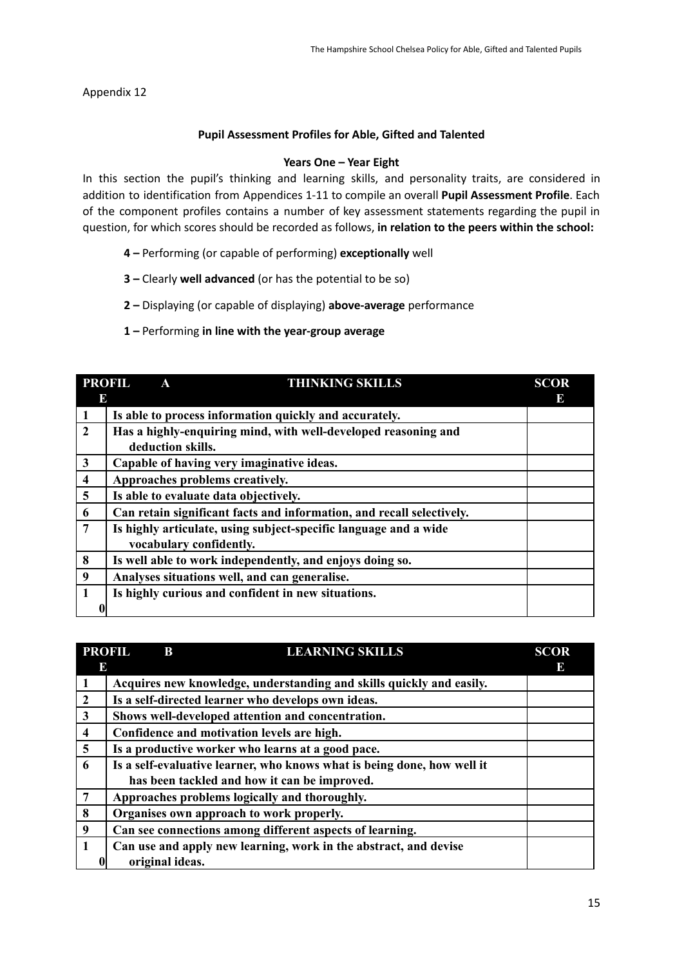<span id="page-14-0"></span>Appendix 12

# **Pupil Assessment Profiles for Able, Gifted and Talented**

# **Years One – Year Eight**

In this section the pupil's thinking and learning skills, and personality traits, are considered in addition to identification from Appendices 1-11 to compile an overall **Pupil Assessment Profile**. Each of the component profiles contains a number of key assessment statements regarding the pupil in question, for which scores should be recorded as follows, **in relation to the peers within the school:**

- **4 –** Performing (or capable of performing) **exceptionally** well
- **3 –** Clearly **well advanced** (or has the potential to be so)
- **2 –** Displaying (or capable of displaying) **above-average** performance

# **1 –** Performing **in line with the year-group average**

|                         | <b>PROFIL</b><br><b>THINKING SKILLS</b><br>A                          | <b>SCOR</b> |  |
|-------------------------|-----------------------------------------------------------------------|-------------|--|
| E                       |                                                                       | Е           |  |
|                         | Is able to process information quickly and accurately.                |             |  |
| $\mathbf{2}$            | Has a highly-enquiring mind, with well-developed reasoning and        |             |  |
|                         | deduction skills.                                                     |             |  |
| 3                       | Capable of having very imaginative ideas.                             |             |  |
| $\overline{\mathbf{4}}$ | Approaches problems creatively.                                       |             |  |
| 5                       | Is able to evaluate data objectively.                                 |             |  |
| 6                       | Can retain significant facts and information, and recall selectively. |             |  |
| $\overline{7}$          | Is highly articulate, using subject-specific language and a wide      |             |  |
|                         | vocabulary confidently.                                               |             |  |
| 8                       | Is well able to work independently, and enjoys doing so.              |             |  |
| 9                       | Analyses situations well, and can generalise.                         |             |  |
| $\mathbf{1}$            | Is highly curious and confident in new situations.                    |             |  |
| 0                       |                                                                       |             |  |

|                | <b>PROFIL</b><br>B                                                   | <b>LEARNING SKILLS</b>                                                  | <b>SCOR</b> |
|----------------|----------------------------------------------------------------------|-------------------------------------------------------------------------|-------------|
| E              |                                                                      |                                                                         | IĐ.         |
|                | Acquires new knowledge, understanding and skills quickly and easily. |                                                                         |             |
| $\overline{2}$ | Is a self-directed learner who develops own ideas.                   |                                                                         |             |
| 3              | Shows well-developed attention and concentration.                    |                                                                         |             |
| $\overline{4}$ | Confidence and motivation levels are high.                           |                                                                         |             |
| $\overline{5}$ |                                                                      | Is a productive worker who learns at a good pace.                       |             |
| 6              |                                                                      | Is a self-evaluative learner, who knows what is being done, how well it |             |
|                |                                                                      | has been tackled and how it can be improved.                            |             |
| 7              |                                                                      | Approaches problems logically and thoroughly.                           |             |
| 8              | Organises own approach to work properly.                             |                                                                         |             |
| 9              |                                                                      | Can see connections among different aspects of learning.                |             |
| $\mathbf{1}$   |                                                                      | Can use and apply new learning, work in the abstract, and devise        |             |
|                | original ideas.                                                      |                                                                         |             |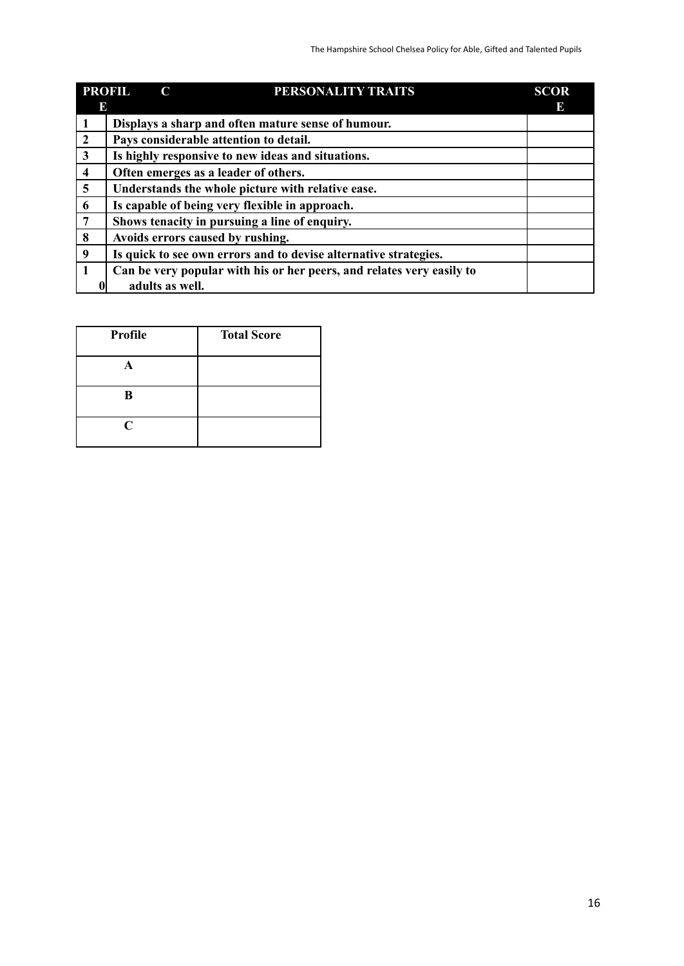| <b>PROFIL</b>           | PERSONALITY TRAITS<br>C                                               | <b>SCOR</b> |  |  |
|-------------------------|-----------------------------------------------------------------------|-------------|--|--|
|                         | E<br>Ю                                                                |             |  |  |
|                         | Displays a sharp and often mature sense of humour.                    |             |  |  |
| $\overline{2}$          | Pays considerable attention to detail.                                |             |  |  |
| $\mathbf{3}$            | Is highly responsive to new ideas and situations.                     |             |  |  |
| $\overline{\mathbf{4}}$ | Often emerges as a leader of others.                                  |             |  |  |
| $\overline{\mathbf{5}}$ | Understands the whole picture with relative ease.                     |             |  |  |
| 6                       | Is capable of being very flexible in approach.                        |             |  |  |
| $\overline{7}$          | Shows tenacity in pursuing a line of enquiry.                         |             |  |  |
| 8                       | Avoids errors caused by rushing.                                      |             |  |  |
| 9                       | Is quick to see own errors and to devise alternative strategies.      |             |  |  |
| $\mathbf{1}$            | Can be very popular with his or her peers, and relates very easily to |             |  |  |
|                         | adults as well.                                                       |             |  |  |

| Profile | <b>Total Score</b> |
|---------|--------------------|
|         |                    |
| B       |                    |
| C       |                    |